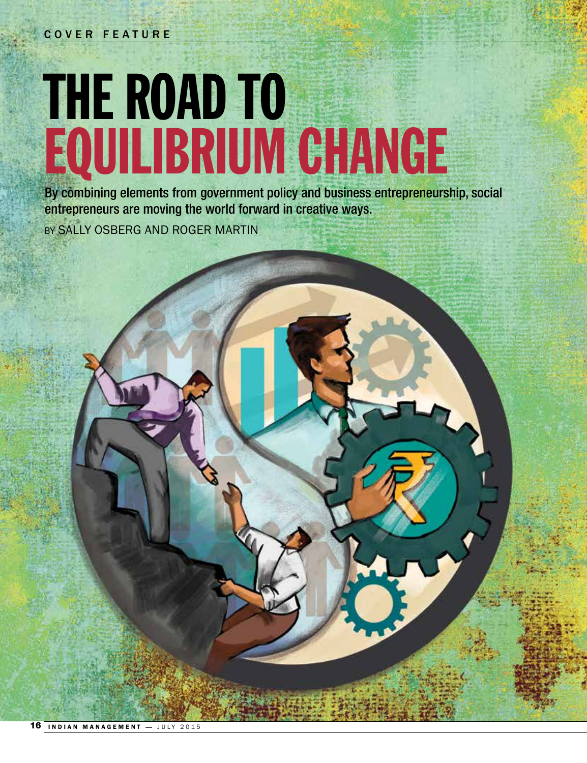## THE ROAD TO EQUILIBRIUM CHANGE

By combining elements from government policy and business entrepreneurship, social entrepreneurs are moving the world forward in creative ways. BY SALLY OSBERG AND ROGER MARTIN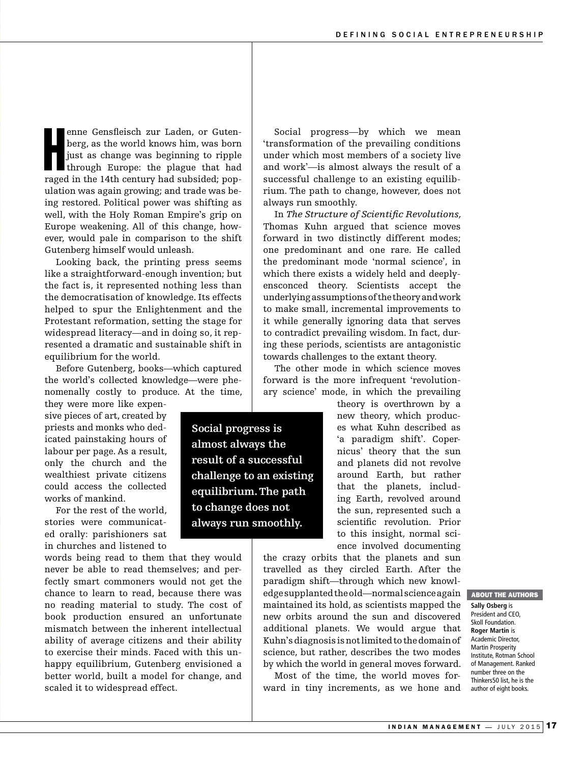enne Gensfleisch zur Laden, or Gutenberg, as the world knows him, was born just as change was beginning to ripple through Europe: the plague that had raged in the 14th century had subsided; popenne Gensfleisch zur Laden, or Gutenberg, as the world knows him, was born just as change was beginning to ripple through Europe: the plague that had ulation was again growing; and trade was being restored. Political power was shifting as well, with the Holy Roman Empire's grip on Europe weakening. All of this change, however, would pale in comparison to the shift Gutenberg himself would unleash.

Looking back, the printing press seems like a straightforward-enough invention; but the fact is, it represented nothing less than the democratisation of knowledge. Its effects helped to spur the Enlightenment and the Protestant reformation, setting the stage for widespread literacy—and in doing so, it represented a dramatic and sustainable shift in equilibrium for the world.

Before Gutenberg, books—which captured the world's collected knowledge—were phenomenally costly to produce. At the time,

they were more like expensive pieces of art, created by priests and monks who dedicated painstaking hours of labour per page. As a result, only the church and the wealthiest private citizens could access the collected works of mankind.

For the rest of the world, stories were communicated orally: parishioners sat in churches and listened to

words being read to them that they would never be able to read themselves; and perfectly smart commoners would not get the chance to learn to read, because there was no reading material to study. The cost of book production ensured an unfortunate mismatch between the inherent intellectual ability of average citizens and their ability to exercise their minds. Faced with this unhappy equilibrium, Gutenberg envisioned a better world, built a model for change, and scaled it to widespread effect.

under which most members of a society live and work'—is almost always the result of a successful challenge to an existing equilibrium. The path to change, however, does not always run smoothly. In *The Structure of Scientific Revolutions,* 

Social progress—by which we mean 'transformation of the prevailing conditions

Thomas Kuhn argued that science moves forward in two distinctly different modes; one predominant and one rare. He called the predominant mode 'normal science', in which there exists a widely held and deeplyensconced theory. Scientists accept the underlying assumptions of the theory and work to make small, incremental improvements to it while generally ignoring data that serves to contradict prevailing wisdom. In fact, during these periods, scientists are antagonistic towards challenges to the extant theory.

The other mode in which science moves forward is the more infrequent 'revolutionary science' mode, in which the prevailing

> theory is overthrown by a new theory, which produces what Kuhn described as 'a paradigm shift'. Copernicus' theory that the sun and planets did not revolve around Earth, but rather that the planets, including Earth, revolved around the sun, represented such a scientific revolution. Prior to this insight, normal science involved documenting

the crazy orbits that the planets and sun travelled as they circled Earth. After the paradigm shift—through which new knowledge supplanted the old—normal science again maintained its hold, as scientists mapped the new orbits around the sun and discovered additional planets. We would argue that Kuhn's diagnosis is not limited to the domain of science, but rather, describes the two modes by which the world in general moves forward.

Most of the time, the world moves forward in tiny increments, as we hone and ABOUT THE AUTHORS

**Sally Osberg** is President and CEO, Skoll Foundation. **Roger Martin** is Academic Director, Martin Prosperity Institute, Rotman School of Management. Ranked number three on the Thinkers50 list, he is the author of eight books.

**Social progress is almost always the result of a successful challenge to an existing equilibrium. The path to change does not always run smoothly.**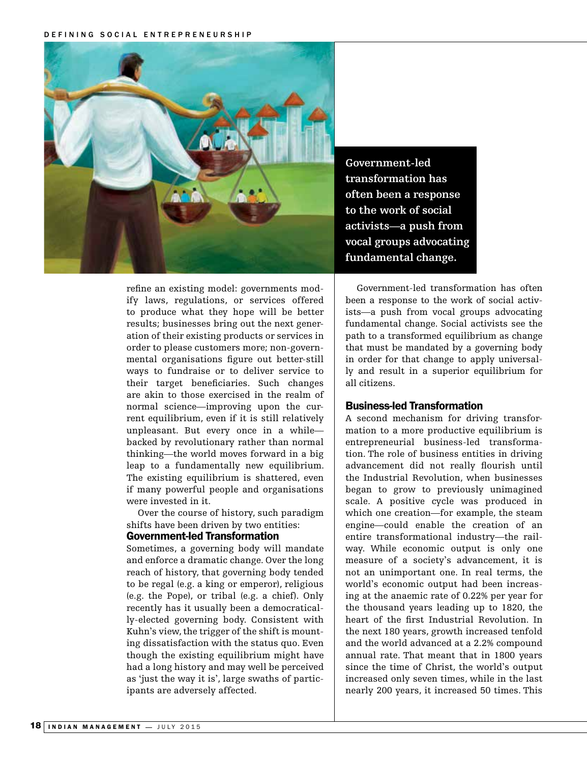DEFINING SOCIAL ENTREPRENEURSHIP



**Government-led transformation has often been a response to the work of social activists—a push from vocal groups advocating fundamental change.** 

refine an existing model: governments modify laws, regulations, or services offered to produce what they hope will be better results; businesses bring out the next generation of their existing products or services in order to please customers more; non-governmental organisations figure out better-still ways to fundraise or to deliver service to their target beneficiaries. Such changes are akin to those exercised in the realm of normal science—improving upon the current equilibrium, even if it is still relatively unpleasant. But every once in a while backed by revolutionary rather than normal thinking—the world moves forward in a big leap to a fundamentally new equilibrium. The existing equilibrium is shattered, even if many powerful people and organisations were invested in it.

Over the course of history, such paradigm shifts have been driven by two entities:

## Government-led Transformation

Sometimes, a governing body will mandate and enforce a dramatic change. Over the long reach of history, that governing body tended to be regal (e.g. a king or emperor), religious (e.g. the Pope), or tribal (e.g. a chief). Only recently has it usually been a democratically-elected governing body. Consistent with Kuhn's view, the trigger of the shift is mounting dissatisfaction with the status quo. Even though the existing equilibrium might have had a long history and may well be perceived as 'just the way it is', large swaths of participants are adversely affected.

Government-led transformation has often been a response to the work of social activists—a push from vocal groups advocating fundamental change. Social activists see the path to a transformed equilibrium as change that must be mandated by a governing body in order for that change to apply universally and result in a superior equilibrium for all citizens.

## Business-led Transformation

A second mechanism for driving transformation to a more productive equilibrium is entrepreneurial business-led transformation. The role of business entities in driving advancement did not really flourish until the Industrial Revolution, when businesses began to grow to previously unimagined scale. A positive cycle was produced in which one creation—for example, the steam engine—could enable the creation of an entire transformational industry—the railway. While economic output is only one measure of a society's advancement, it is not an unimportant one. In real terms, the world's economic output had been increasing at the anaemic rate of 0.22% per year for the thousand years leading up to 1820, the heart of the first Industrial Revolution. In the next 180 years, growth increased tenfold and the world advanced at a 2.2% compound annual rate. That meant that in 1800 years since the time of Christ, the world's output increased only seven times, while in the last nearly 200 years, it increased 50 times. This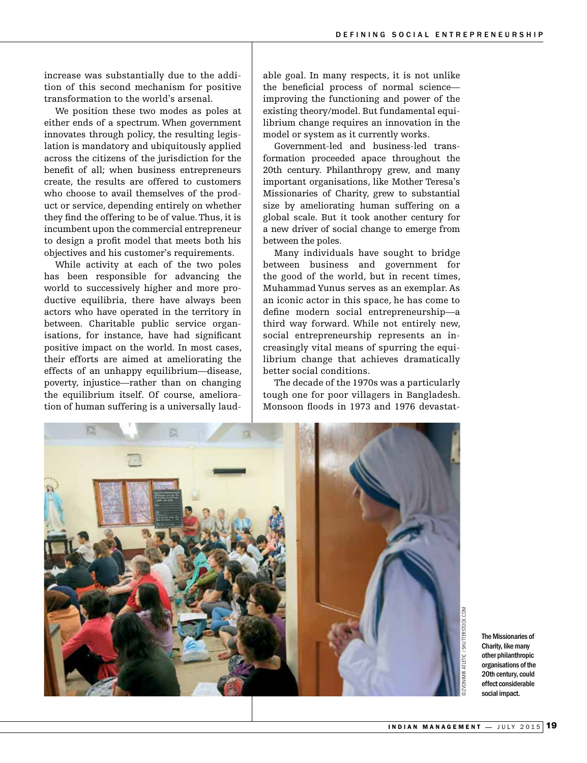increase was substantially due to the addition of this second mechanism for positive transformation to the world's arsenal.

We position these two modes as poles at either ends of a spectrum. When government innovates through policy, the resulting legislation is mandatory and ubiquitously applied across the citizens of the jurisdiction for the benefit of all; when business entrepreneurs create, the results are offered to customers who choose to avail themselves of the product or service, depending entirely on whether they find the offering to be of value. Thus, it is incumbent upon the commercial entrepreneur to design a profit model that meets both his objectives and his customer's requirements.

While activity at each of the two poles has been responsible for advancing the world to successively higher and more productive equilibria, there have always been actors who have operated in the territory in between. Charitable public service organisations, for instance, have had significant positive impact on the world. In most cases, their efforts are aimed at ameliorating the effects of an unhappy equilibrium—disease, poverty, injustice—rather than on changing the equilibrium itself. Of course, amelioration of human suffering is a universally laudable goal. In many respects, it is not unlike the beneficial process of normal science improving the functioning and power of the existing theory/model. But fundamental equilibrium change requires an innovation in the model or system as it currently works.

Government-led and business-led transformation proceeded apace throughout the 20th century. Philanthropy grew, and many important organisations, like Mother Teresa's Missionaries of Charity, grew to substantial size by ameliorating human suffering on a global scale. But it took another century for a new driver of social change to emerge from between the poles.

Many individuals have sought to bridge between business and government for the good of the world, but in recent times, Muhammad Yunus serves as an exemplar. As an iconic actor in this space, he has come to define modern social entrepreneurship—a third way forward. While not entirely new, social entrepreneurship represents an increasingly vital means of spurring the equilibrium change that achieves dramatically better social conditions.

The decade of the 1970s was a particularly tough one for poor villagers in Bangladesh. Monsoon floods in 1973 and 1976 devastat-



The Missionaries of Charity, like many other philanthropic organisations of the 20th century, could effect considerable social impact.